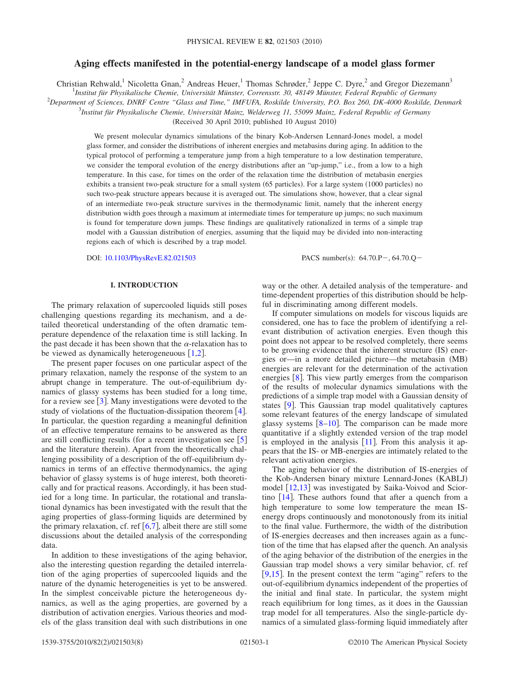# **Aging effects manifested in the potential-energy landscape of a model glass former**

Christian Rehwald,<sup>1</sup> Nicoletta Gnan,<sup>2</sup> Andreas Heuer,<sup>1</sup> Thomas Schrøder,<sup>2</sup> Jeppe C. Dyre,<sup>2</sup> and Gregor Diezemann<sup>3</sup>

1 *Institut für Physikalische Chemie, Universität Münster, Corrensstr. 30, 48149 Münster, Federal Republic of Germany*

2 *Department of Sciences, DNRF Centre "Glass and Time," IMFUFA, Roskilde University, P.O. Box 260, DK-4000 Roskilde, Denmark*

3 *Institut für Physikalische Chemie, Universität Mainz, Welderweg 11, 55099 Mainz, Federal Republic of Germany*

(Received 30 April 2010; published 10 August 2010)

We present molecular dynamics simulations of the binary Kob-Andersen Lennard-Jones model, a model glass former, and consider the distributions of inherent energies and metabasins during aging. In addition to the typical protocol of performing a temperature jump from a high temperature to a low destination temperature, we consider the temporal evolution of the energy distributions after an "up-jump," i.e., from a low to a high temperature. In this case, for times on the order of the relaxation time the distribution of metabasin energies exhibits a transient two-peak structure for a small system (65 particles). For a large system (1000 particles) no such two-peak structure appears because it is averaged out. The simulations show, however, that a clear signal of an intermediate two-peak structure survives in the thermodynamic limit, namely that the inherent energy distribution width goes through a maximum at intermediate times for temperature up jumps; no such maximum is found for temperature down jumps. These findings are qualitatively rationalized in terms of a simple trap model with a Gaussian distribution of energies, assuming that the liquid may be divided into non-interacting regions each of which is described by a trap model.

DOI: [10.1103/PhysRevE.82.021503](http://dx.doi.org/10.1103/PhysRevE.82.021503)

PACS number(s):  $64.70 \text{.}P - 64.70 \text{.}Q -$ 

# **I. INTRODUCTION**

The primary relaxation of supercooled liquids still poses challenging questions regarding its mechanism, and a detailed theoretical understanding of the often dramatic temperature dependence of the relaxation time is still lacking. In the past decade it has been shown that the  $\alpha$ -relaxation has to be viewed as dynamically heterogeneuous  $[1,2]$  $[1,2]$  $[1,2]$  $[1,2]$ .

The present paper focuses on one particular aspect of the primary relaxation, namely the response of the system to an abrupt change in temperature. The out-of-equilibrium dynamics of glassy systems has been studied for a long time, for a review see  $\lceil 3 \rceil$  $\lceil 3 \rceil$  $\lceil 3 \rceil$ . Many investigations were devoted to the study of violations of the fluctuation-dissipation theorem  $[4]$  $[4]$  $[4]$ . In particular, the question regarding a meaningful definition of an effective temperature remains to be answered as there are still conflicting results (for a recent investigation see  $[5]$  $[5]$  $[5]$ and the literature therein). Apart from the theoretically challenging possibility of a description of the off-equilibrium dynamics in terms of an effective thermodynamics, the aging behavior of glassy systems is of huge interest, both theoretically and for practical reasons. Accordingly, it has been studied for a long time. In particular, the rotational and translational dynamics has been investigated with the result that the aging properties of glass-forming liquids are determined by the primary relaxation, cf. ref  $[6,7]$  $[6,7]$  $[6,7]$  $[6,7]$ , albeit there are still some discussions about the detailed analysis of the corresponding data.

In addition to these investigations of the aging behavior, also the interesting question regarding the detailed interrelation of the aging properties of supercooled liquids and the nature of the dynamic heterogeneities is yet to be answered. In the simplest conceivable picture the heterogeneous dynamics, as well as the aging properties, are governed by a distribution of activation energies. Various theories and models of the glass transition deal with such distributions in one way or the other. A detailed analysis of the temperature- and time-dependent properties of this distribution should be helpful in discriminating among different models.

If computer simulations on models for viscous liquids are considered, one has to face the problem of identifying a relevant distribution of activation energies. Even though this point does not appear to be resolved completely, there seems to be growing evidence that the inherent structure (IS) energies or—in a more detailed picture—the metabasin (MB) energies are relevant for the determination of the activation energies  $[8]$  $[8]$  $[8]$ . This view partly emerges from the comparison of the results of molecular dynamics simulations with the predictions of a simple trap model with a Gaussian density of states  $[9]$  $[9]$  $[9]$ . This Gaussian trap model qualitatively captures some relevant features of the energy landscape of simulated glassy systems  $\lceil 8-10 \rceil$  $\lceil 8-10 \rceil$  $\lceil 8-10 \rceil$ . The comparison can be made more quantitative if a slightly extended version of the trap model is employed in the analysis  $[11]$  $[11]$  $[11]$ . From this analysis it appears that the IS- or MB-energies are intimately related to the relevant activation energies.

The aging behavior of the distribution of IS-energies of the Kob-Andersen binary mixture Lennard-Jones (KABLJ) model  $[12,13]$  $[12,13]$  $[12,13]$  $[12,13]$  was investigated by Saika-Voivod and Sciortino  $[14]$  $[14]$  $[14]$ . These authors found that after a quench from a high temperature to some low temperature the mean ISenergy drops continuously and monotonously from its initial to the final value. Furthermore, the width of the distribution of IS-energies decreases and then increases again as a function of the time that has elapsed after the quench. An analysis of the aging behavior of the distribution of the energies in the Gaussian trap model shows a very similar behavior, cf. ref [ $9,15$  $9,15$ ]. In the present context the term "aging" refers to the out-of-equilibrium dynamics independent of the properties of the initial and final state. In particular, the system might reach equilibrium for long times, as it does in the Gaussian trap model for all temperatures. Also the single-particle dynamics of a simulated glass-forming liquid immediately after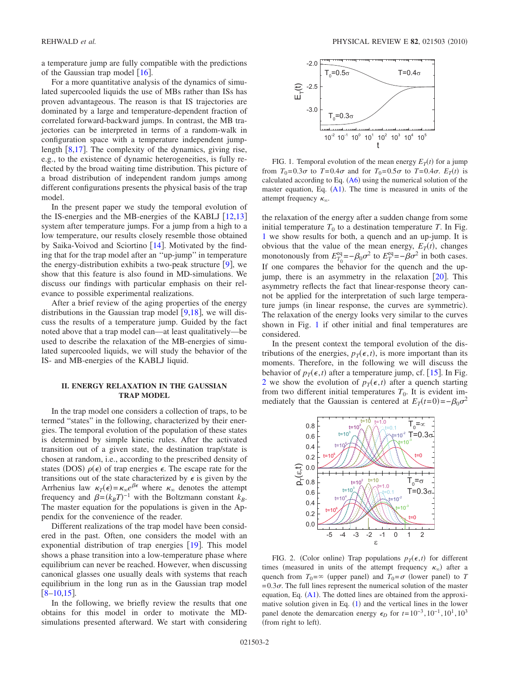a temperature jump are fully compatible with the predictions of the Gaussian trap model  $\lceil 16 \rceil$  $\lceil 16 \rceil$  $\lceil 16 \rceil$ .

For a more quantitative analysis of the dynamics of simulated supercooled liquids the use of MBs rather than ISs has proven advantageous. The reason is that IS trajectories are dominated by a large and temperature-dependent fraction of correlated forward-backward jumps. In contrast, the MB trajectories can be interpreted in terms of a random-walk in configuration space with a temperature independent jumplength  $\lceil 8,17 \rceil$  $\lceil 8,17 \rceil$  $\lceil 8,17 \rceil$  $\lceil 8,17 \rceil$ . The complexity of the dynamics, giving rise, e.g., to the existence of dynamic heterogeneities, is fully reflected by the broad waiting time distribution. This picture of a broad distribution of independent random jumps among different configurations presents the physical basis of the trap model.

In the present paper we study the temporal evolution of the IS-energies and the MB-energies of the KABLJ  $[12,13]$  $[12,13]$  $[12,13]$  $[12,13]$ system after temperature jumps. For a jump from a high to a low temperature, our results closely resemble those obtained by Saika-Voivod and Sciortino [[14](#page-7-13)]. Motivated by the finding that for the trap model after an ''up-jump'' in temperature the energy-distribution exhibits a two-peak structure  $[9]$  $[9]$  $[9]$ , we show that this feature is also found in MD-simulations. We discuss our findings with particular emphasis on their relevance to possible experimental realizations.

After a brief review of the aging properties of the energy distributions in the Gaussian trap model  $[9,18]$  $[9,18]$  $[9,18]$  $[9,18]$ , we will discuss the results of a temperature jump. Guided by the fact noted above that a trap model can—at least qualitatively—be used to describe the relaxation of the MB-energies of simulated supercooled liquids, we will study the behavior of the IS- and MB-energies of the KABLJ liquid.

# **II. ENERGY RELAXATION IN THE GAUSSIAN TRAP MODEL**

In the trap model one considers a collection of traps, to be termed "states" in the following, characterized by their energies. The temporal evolution of the population of these states is determined by simple kinetic rules. After the activated transition out of a given state, the destination trap/state is chosen at random, i.e., according to the prescribed density of states (DOS)  $\rho(\epsilon)$  of trap energies  $\epsilon$ . The escape rate for the transitions out of the state characterized by  $\epsilon$  is given by the Arrhenius law  $\kappa_T(\epsilon) = \kappa_{\infty} e^{\beta \epsilon}$  where  $\kappa_{\infty}$  denotes the attempt frequency and  $\beta = (k_B T)^{-1}$  with the Boltzmann constant  $k_B$ . The master equation for the populations is given in the Appendix for the convenience of the reader.

Different realizations of the trap model have been considered in the past. Often, one considers the model with an exponential distribution of trap energies  $[19]$  $[19]$  $[19]$ . This model shows a phase transition into a low-temperature phase where equilibrium can never be reached. However, when discussing canonical glasses one usually deals with systems that reach equilibrium in the long run as in the Gaussian trap model  $\lceil 8-10,15 \rceil$  $\lceil 8-10,15 \rceil$  $\lceil 8-10,15 \rceil$  $\lceil 8-10,15 \rceil$  $\lceil 8-10,15 \rceil$ .

In the following, we briefly review the results that one obtains for this model in order to motivate the MDsimulations presented afterward. We start with considering

<span id="page-1-0"></span>

FIG. 1. Temporal evolution of the mean energy  $E_T(t)$  for a jump from  $T_0=0.3\sigma$  to  $T=0.4\sigma$  and for  $T_0=0.5\sigma$  to  $T=0.4\sigma$ .  $E_T(t)$  is calculated according to Eq.  $(A6)$  $(A6)$  $(A6)$  using the numerical solution of the master equation, Eq.  $(A1)$  $(A1)$  $(A1)$ . The time is measured in units of the attempt frequency  $\kappa_{\infty}$ .

the relaxation of the energy after a sudden change from some initial temperature  $T_0$  to a destination temperature *T*. In Fig. [1](#page-1-0) we show results for both, a quench and an up-jump. It is obvious that the value of the mean energy,  $E_T(t)$ , changes monotonously from  $E_{T_0}^{\text{eq}} = -\beta_0 \sigma^2$  to  $E_T^{\text{eq}} = -\beta \sigma^2$  in both cases. If one compares the behavior for the quench and the upjump, there is an asymmetry in the relaxation  $\lceil 20 \rceil$  $\lceil 20 \rceil$  $\lceil 20 \rceil$ . This asymmetry reflects the fact that linear-response theory cannot be applied for the interpretation of such large temperature jumps (in linear response, the curves are symmetric). The relaxation of the energy looks very similar to the curves shown in Fig. [1](#page-1-0) if other initial and final temperatures are considered.

In the present context the temporal evolution of the distributions of the energies,  $p_T(\epsilon, t)$ , is more important than its moments. Therefore, in the following we will discuss the behavior of  $p_T(\epsilon, t)$  after a temperature jump, cf. [[15](#page-7-14)]. In Fig. [2](#page-1-1) we show the evolution of  $p_T(\epsilon, t)$  after a quench starting from two different initial temperatures  $T_0$ . It is evident immediately that the Gaussian is centered at  $E_T(t=0) = -\beta_0 \sigma^2$ 

<span id="page-1-1"></span>

FIG. 2. (Color online) Trap populations  $p_T(\epsilon, t)$  for different times (measured in units of the attempt frequency  $\kappa_{\infty}$ ) after a quench from  $T_0 = \infty$  (upper panel) and  $T_0 = \sigma$  (lower panel) to *T*  $=0.3\sigma$ . The full lines represent the numerical solution of the master equation, Eq.  $(A1)$  $(A1)$  $(A1)$ . The dotted lines are obtained from the approximative solution given in Eq.  $(1)$  $(1)$  $(1)$  and the vertical lines in the lower panel denote the demarcation energy  $\epsilon_D$  for  $t=10^{-3}$ ,  $10^{-1}$ ,  $10^{1}$ ,  $10^{3}$ (from right to left).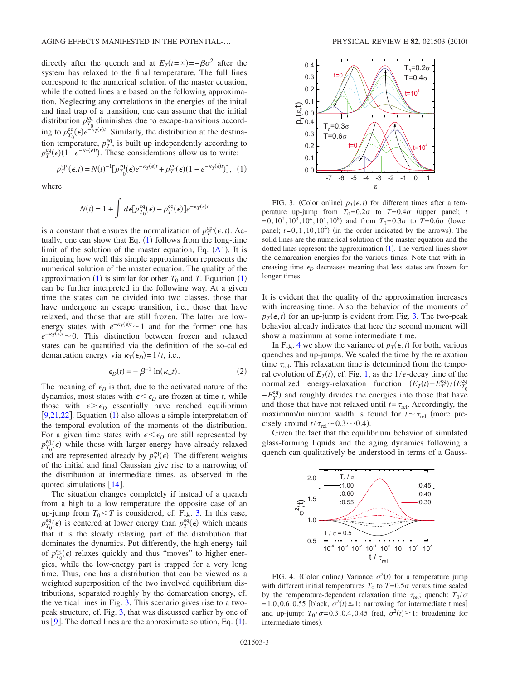directly after the quench and at  $E_T(t=\infty) = -\beta \sigma^2$  after the system has relaxed to the final temperature. The full lines correspond to the numerical solution of the master equation, while the dotted lines are based on the following approximation. Neglecting any correlations in the energies of the inital and final trap of a transition, one can assume that the initial distribution  $p_{T_0}^{\text{eq}}$  diminishes due to escape-transitions according to  $p_{T_0}^{\text{eq}}(\epsilon) e^{-\kappa_T(\epsilon)t}$ . Similarly, the distribution at the destination temperature,  $p_T^{eq}$ , is built up independently according to  $p_T^{\text{eq}}(\epsilon) (1 - e^{-\kappa_T(\epsilon)t})$ . These considerations allow us to write:

where

$$
N(t) = 1 + \int d\epsilon [p_{T_0}^{\text{eq}}(\epsilon) - p_T^{\text{eq}}(\epsilon)] e^{-\kappa_T(\epsilon)t}
$$

<span id="page-2-0"></span> $p_T^{\text{ap.}}(\epsilon, t) = N(t)^{-1} [p_{T_0}^{\text{eq}}(\epsilon) e^{-\kappa_T(\epsilon)t} + p_T^{\text{eq}}(\epsilon) (1 - e^{-\kappa_T(\epsilon)t})],$  (1)

is a constant that ensures the normalization of  $p_T^{\text{ap}}(\epsilon, t)$ . Actually, one can show that Eq.  $(1)$  $(1)$  $(1)$  follows from the long-time limit of the solution of the master equation, Eq.  $(A1)$  $(A1)$  $(A1)$ . It is intriguing how well this simple approximation represents the numerical solution of the master equation. The quality of the approximation ([1](#page-2-0)) is similar for other  $T_0$  and  $T$ . Equation (1) can be further interpreted in the following way. At a given time the states can be divided into two classes, those that have undergone an escape transition, i.e., those that have relaxed, and those that are still frozen. The latter are lowenergy states with  $e^{-\kappa_T(\epsilon)t}$  ~ 1 and for the former one has  $e^{-\kappa T(\epsilon)t}$  
ighta is 0. This distinction between frozen and relaxed states can be quantified via the definition of the so-called demarcation energy via  $\kappa_T(\epsilon_D) = 1/t$ , i.e.,

$$
\epsilon_D(t) = -\beta^{-1} \ln(\kappa_\infty t). \tag{2}
$$

The meaning of  $\epsilon_D$  is that, due to the activated nature of the dynamics, most states with  $\epsilon \leq \epsilon_D$  are frozen at time *t*, while those with  $\epsilon > \epsilon_D$  essentially have reached equilibrium [ $9,21,22$  $9,21,22$  $9,21,22$ ]. Equation ([1](#page-2-0)) also allows a simple interpretation of the temporal evolution of the moments of the distribution. For a given time states with  $\epsilon \leq \epsilon_D$  are still represented by  $p_{T_0}^{\text{eq}}(\epsilon)$  while those with larger energy have already relaxed and are represented already by  $p_T^{\text{eq}}(\epsilon)$ . The different weights of the initial and final Gaussian give rise to a narrowing of the distribution at intermediate times, as observed in the quoted simulations  $[14]$  $[14]$  $[14]$ .

The situation changes completely if instead of a quench from a high to a low temperature the opposite case of an up-jump from  $T_0 < T$  is considered, cf. Fig. [3.](#page-2-1) In this case,  $p_{T_0}^{\text{eq}}(\epsilon)$  is centered at lower energy than  $p_T^{\text{eq}}(\epsilon)$  which means that it is the slowly relaxing part of the distribution that dominates the dynamics. Put differently, the high energy tail of  $p_{T_0}^{\text{eq}}(\epsilon)$  relaxes quickly and thus "moves" to higher energies, while the low-energy part is trapped for a very long time. Thus, one has a distribution that can be viewed as a weighted superposition of the two involved equilibrium distributions, separated roughly by the demarcation energy, cf. the vertical lines in Fig. [3.](#page-2-1) This scenario gives rise to a twopeak structure, cf. Fig. [3,](#page-2-1) that was discussed earlier by one of us  $[9]$  $[9]$  $[9]$ . The dotted lines are the approximate solution, Eq.  $(1)$  $(1)$  $(1)$ .

<span id="page-2-1"></span>

FIG. 3. (Color online)  $p_T(\epsilon, t)$  for different times after a temperature up-jump from  $T_0=0.2\sigma$  to  $T=0.4\sigma$  (upper panel; *t*  $=0, 10^2, 10^3, 10^4, 10^5, 10^8)$  and from  $T_0=0.3\sigma$  to  $T=0.6\sigma$  (lower panel;  $t=0,1,10,10^4$ ) (in the order indicated by the arrows). The solid lines are the numerical solution of the master equation and the dotted lines represent the approximation  $(1)$  $(1)$  $(1)$ . The vertical lines show the demarcation energies for the various times. Note that with increasing time  $\epsilon_D$  decreases meaning that less states are frozen for longer times.

It is evident that the quality of the approximation increases with increasing time. Also the behavior of the moments of  $p_T(\epsilon, t)$  for an up-jump is evident from Fig. [3.](#page-2-1) The two-peak behavior already indicates that here the second moment will show a maximum at some intermediate time.

In Fig. [4](#page-2-2) we show the variance of  $p_T(\epsilon, t)$  for both, various quenches and up-jumps. We scaled the time by the relaxation time  $\tau_{rel}$ . This relaxation time is determined from the temporal evolution of  $E_T(t)$ , cf. Fig. [1,](#page-1-0) as the  $1/e$ -decay time of the normalized energy-relaxation function  $(E_T(t) - E_T^{\text{eq}})/(E_{T_0}^{\text{eq}})$  $-E_T^{\text{eq}}$ ) and roughly divides the energies into those that have and those that have not relaxed until  $t = \tau_{rel}$ . Accordingly, the maximum/minimum width is found for  $t \sim \tau_{rel}$  (more precisely around  $t/\tau_{rel} \sim 0.3 \cdots 0.4$ ).

Given the fact that the equilibrium behavior of simulated glass-forming liquids and the aging dynamics following a quench can qualitatively be understood in terms of a Gauss-

<span id="page-2-2"></span>

FIG. 4. (Color online) Variance  $\sigma^2(t)$  for a temperature jump with different initial temperatures  $T_0$  to  $T=0.5\sigma$  versus time scaled by the temperature-dependent relaxation time  $\tau_{rel}$ ; quench:  $T_0 / \sigma$  $= 1.0, 0.6, 0.55$  [black,  $\sigma^2(t) \leq 1$ : narrowing for intermediate times] and up-jump:  $T_0 / \sigma = 0.3, 0.4, 0.45$  (red,  $\sigma^2(t) \ge 1$ : broadening for intermediate times).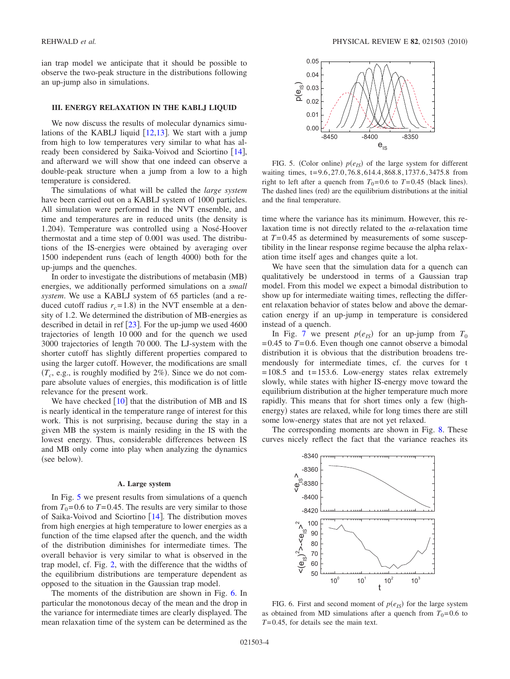ian trap model we anticipate that it should be possible to observe the two-peak structure in the distributions following an up-jump also in simulations.

## **III. ENERGY RELAXATION IN THE KABLJ LIQUID**

We now discuss the results of molecular dynamics simulations of the KABLJ liquid  $[12,13]$  $[12,13]$  $[12,13]$  $[12,13]$ . We start with a jump from high to low temperatures very similar to what has already been considered by Saika-Voivod and Sciortino  $[14]$  $[14]$  $[14]$ , and afterward we will show that one indeed can observe a double-peak structure when a jump from a low to a high temperature is considered.

The simulations of what will be called the *large system* have been carried out on a KABLJ system of 1000 particles. All simulation were performed in the NVT ensemble, and time and temperatures are in reduced units (the density is 1.204). Temperature was controlled using a Nosé-Hoover thermostat and a time step of 0.001 was used. The distributions of the IS-energies were obtained by averaging over 1500 independent runs (each of length 4000) both for the up-jumps and the quenches.

In order to investigate the distributions of metabasin (MB) energies, we additionally performed simulations on a *small* system. We use a KABLJ system of 65 particles (and a reduced cutoff radius  $r_c = 1.8$ ) in the NVT ensemble at a density of 1.2. We determined the distribution of MB-energies as described in detail in ref  $[23]$  $[23]$  $[23]$ . For the up-jump we used 4600 trajectories of length 10 000 and for the quench we used 3000 trajectories of length 70 000. The LJ-system with the shorter cutoff has slightly different properties compared to using the larger cutoff. However, the modifications are small  $(T_c, e.g.,$  is roughly modified by  $2\%)$ . Since we do not compare absolute values of energies, this modification is of little relevance for the present work.

We have checked  $\lceil 10 \rceil$  $\lceil 10 \rceil$  $\lceil 10 \rceil$  that the distribution of MB and IS is nearly identical in the temperature range of interest for this work. This is not surprising, because during the stay in a given MB the system is mainly residing in the IS with the lowest energy. Thus, considerable differences between IS and MB only come into play when analyzing the dynamics (see below).

#### **A. Large system**

In Fig. [5](#page-3-0) we present results from simulations of a quench from  $T_0$ =0.6 to *T*=0.45. The results are very similar to those of Saika-Voivod and Sciortino  $[14]$  $[14]$  $[14]$ . The distribution moves from high energies at high temperature to lower energies as a function of the time elapsed after the quench, and the width of the distribution diminishes for intermediate times. The overall behavior is very similar to what is observed in the trap model, cf. Fig. [2,](#page-1-1) with the difference that the widths of the equilibrium distributions are temperature dependent as opposed to the situation in the Gaussian trap model.

The moments of the distribution are shown in Fig. [6.](#page-3-1) In particular the monotonous decay of the mean and the drop in the variance for intermediate times are clearly displayed. The mean relaxation time of the system can be determined as the

<span id="page-3-0"></span>

FIG. 5. (Color online)  $p(e_{IS})$  of the large system for different waiting times, t=9.6,27.0,76.8,614.4,868.8,1737.6,3475.8 from right to left after a quench from  $T_0=0.6$  to  $T=0.45$  (black lines). The dashed lines (red) are the equilibrium distributions at the initial and the final temperature.

time where the variance has its minimum. However, this relaxation time is not directly related to the  $\alpha$ -relaxation time at *T*=0.45 as determined by measurements of some susceptibility in the linear response regime because the alpha relaxation time itself ages and changes quite a lot.

We have seen that the simulation data for a quench can qualitatively be understood in terms of a Gaussian trap model. From this model we expect a bimodal distribution to show up for intermediate waiting times, reflecting the different relaxation behavior of states below and above the demarcation energy if an up-jump in temperature is considered instead of a quench.

In Fig. [7](#page-4-0) we present  $p(e_{IS})$  for an up-jump from  $T_0$  $=0.45$  to  $T=0.6$ . Even though one cannot observe a bimodal distribution it is obvious that the distribution broadens tremendously for intermediate times, cf. the curves for t  $=108.5$  and  $t=153.6$ . Low-energy states relax extremely slowly, while states with higher IS-energy move toward the equilibrium distribution at the higher temperature much more rapidly. This means that for short times only a few (highenergy) states are relaxed, while for long times there are still some low-energy states that are not yet relaxed.

The corresponding moments are shown in Fig. [8.](#page-4-1) These curves nicely reflect the fact that the variance reaches its

<span id="page-3-1"></span>

FIG. 6. First and second moment of  $p(e_{IS})$  for the large system as obtained from MD simulations after a quench from  $T_0=0.6$  to *T*=0.45, for details see the main text.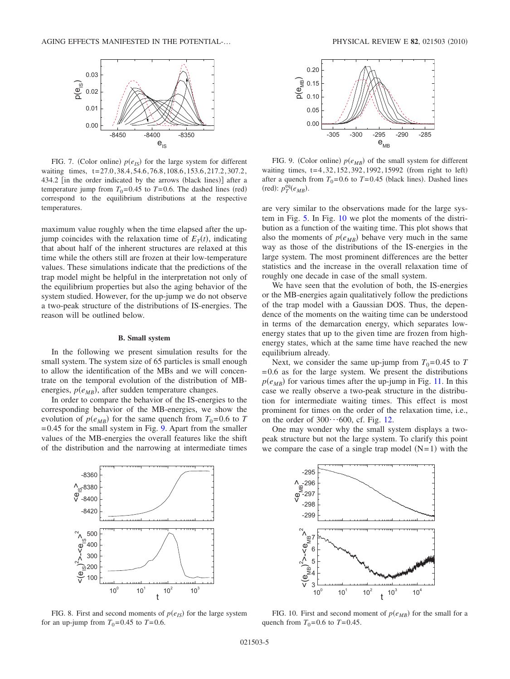<span id="page-4-0"></span>

FIG. 7. (Color online)  $p(e_{IS})$  for the large system for different waiting times, t=27.0,38.4,54.6,76.8,108.6,153.6,217.2,307.2, 434.2 [in the order indicated by the arrows (black lines)] after a temperature jump from  $T_0=0.45$  to  $T=0.6$ . The dashed lines (red) correspond to the equilibrium distributions at the respective temperatures.

maximum value roughly when the time elapsed after the upjump coincides with the relaxation time of  $E_T(t)$ , indicating that about half of the inherent structures are relaxed at this time while the others still are frozen at their low-temperature values. These simulations indicate that the predictions of the trap model might be helpful in the interpretation not only of the equilibrium properties but also the aging behavior of the system studied. However, for the up-jump we do not observe a two-peak structure of the distributions of IS-energies. The reason will be outlined below.

#### **B. Small system**

In the following we present simulation results for the small system. The system size of 65 particles is small enough to allow the identification of the MBs and we will concentrate on the temporal evolution of the distribution of MBenergies,  $p(e_{MB})$ , after sudden temperature changes.

In order to compare the behavior of the IS-energies to the corresponding behavior of the MB-energies, we show the evolution of  $p(e_{MB})$  for the same quench from  $T_0=0.6$  to *T*  $=0.45$  for the small system in Fig. [9.](#page-4-2) Apart from the smaller values of the MB-energies the overall features like the shift of the distribution and the narrowing at intermediate times <span id="page-4-2"></span>-305 -300 -295 -290 -285

 $e$ <sub>MB</sub>

FIG. 9. (Color online)  $p(e_{MB})$  of the small system for different waiting times, t=4,32,152,392,1992,15992 (from right to left) after a quench from  $T_0=0.6$  to  $T=0.45$  (black lines). Dashed lines  $(\text{red})$ :  $p_T^{\text{eq}}(e_{MB})$ .

are very similar to the observations made for the large system in Fig. [5.](#page-3-0) In Fig. [10](#page-4-3) we plot the moments of the distribution as a function of the waiting time. This plot shows that also the moments of  $p(e_{MB})$  behave very much in the same way as those of the distributions of the IS-energies in the large system. The most prominent differences are the better statistics and the increase in the overall relaxation time of roughly one decade in case of the small system.

We have seen that the evolution of both, the IS-energies or the MB-energies again qualitatively follow the predictions of the trap model with a Gaussian DOS. Thus, the dependence of the moments on the waiting time can be understood in terms of the demarcation energy, which separates lowenergy states that up to the given time are frozen from highenergy states, which at the same time have reached the new equilibrium already.

Next, we consider the same up-jump from  $T_0=0.45$  to T  $=0.6$  as for the large system. We present the distributions  $p(e_{MB})$  for various times after the up-jump in Fig. [11.](#page-5-0) In this case we really observe a two-peak structure in the distribution for intermediate waiting times. This effect is most prominent for times on the order of the relaxation time, i.e., on the order of  $300 \cdots 600$ , cf. Fig. [12.](#page-5-1)

One may wonder why the small system displays a twopeak structure but not the large system. To clarify this point we compare the case of a single trap model  $(N=1)$  with the

<span id="page-4-1"></span>

FIG. 8. First and second moments of  $p(e_{IS})$  for the large system for an up-jump from  $T_0$ =0.45 to  $T$ =0.6.

<span id="page-4-3"></span>

FIG. 10. First and second moment of  $p(e_{MB})$  for the small for a quench from  $T_0 = 0.6$  to  $T = 0.45$ .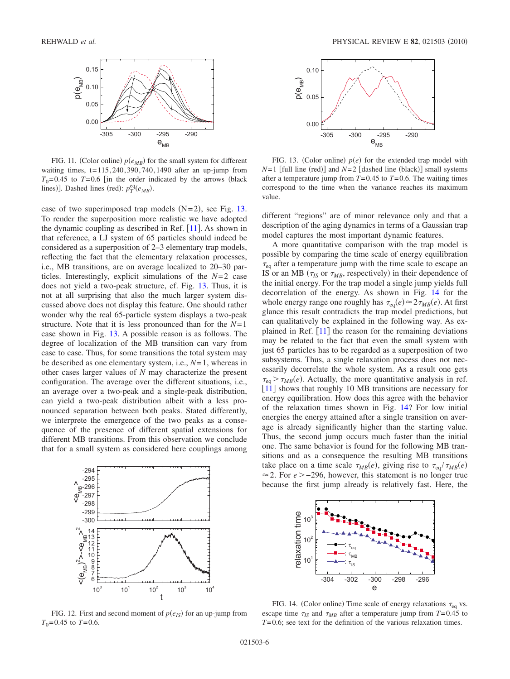<span id="page-5-0"></span>

FIG. 11. (Color online)  $p(e_{MB})$  for the small system for different waiting times,  $t=115,240,390,740,1490$  after an up-jump from  $T_0$ =0.45 to  $T=0.6$  [in the order indicated by the arrows (black lines)]. Dashed lines (red):  $p_T^{eq}(e_{MB})$ .

case of two superimposed trap models  $(N=2)$ , see Fig. [13.](#page-5-2) To render the superposition more realistic we have adopted the dynamic coupling as described in Ref.  $[11]$  $[11]$  $[11]$ . As shown in that reference, a LJ system of 65 particles should indeed be considered as a superposition of 2–3 elementary trap models, reflecting the fact that the elementary relaxation processes, i.e., MB transitions, are on average localized to 20–30 particles. Interestingly, explicit simulations of the *N*=2 case does not yield a two-peak structure, cf. Fig. [13.](#page-5-2) Thus, it is not at all surprising that also the much larger system discussed above does not display this feature. One should rather wonder why the real 65-particle system displays a two-peak structure. Note that it is less pronounced than for the *N*=1 case shown in Fig. [13.](#page-5-2) A possible reason is as follows. The degree of localization of the MB transition can vary from case to case. Thus, for some transitions the total system may be described as one elementary system, i.e., *N*=1, whereas in other cases larger values of *N* may characterize the present configuration. The average over the different situations, i.e., an average over a two-peak and a single-peak distribution, can yield a two-peak distribution albeit with a less pronounced separation between both peaks. Stated differently, we interprete the emergence of the two peaks as a consequence of the presence of different spatial extensions for different MB transitions. From this observation we conclude that for a small system as considered here couplings among

<span id="page-5-1"></span>

FIG. 12. First and second moment of  $p(e_{IS})$  for an up-jump from  $T_0$ =0.45 to  $T$ =0.6.

<span id="page-5-2"></span>

FIG. 13. (Color online)  $p(e)$  for the extended trap model with  $N=1$  [full line (red)] and  $N=2$  [dashed line (black)] small systems after a temperature jump from *T*=0.45 to *T*=0.6. The waiting times correspond to the time when the variance reaches its maximum value.

different "regions" are of minor relevance only and that a description of the aging dynamics in terms of a Gaussian trap model captures the most important dynamic features.

A more quantitative comparison with the trap model is possible by comparing the time scale of energy equilibration  $\tau_{eq}$  after a temperature jump with the time scale to escape an IS or an MB ( $\tau_{IS}$  or  $\tau_{MB}$ , respectively) in their dependence of the initial energy. For the trap model a single jump yields full decorrelation of the energy. As shown in Fig. [14](#page-5-3) for the whole energy range one roughly has  $\tau_{eq}(e) \approx 2 \tau_{MB}(e)$ . At first glance this result contradicts the trap model predictions, but can qualitatively be explained in the following way. As explained in Ref.  $[11]$  $[11]$  $[11]$  the reason for the remaining deviations may be related to the fact that even the small system with just 65 particles has to be regarded as a superposition of two subsystems. Thus, a single relaxation process does not necessarily decorrelate the whole system. As a result one gets  $\tau_{\text{eq}} > \tau_{MB}(e)$ . Actually, the more quantitative analysis in ref. [[11](#page-7-10)] shows that roughly 10 MB transitions are necessary for energy equilibration. How does this agree with the behavior of the relaxation times shown in Fig. [14?](#page-5-3) For low initial energies the energy attained after a single transition on average is already significantly higher than the starting value. Thus, the second jump occurs much faster than the initial one. The same behavior is found for the following MB transitions and as a consequence the resulting MB transitions take place on a time scale  $\tau_{MB}(e)$ , giving rise to  $\tau_{eq}/\tau_{MB}(e)$ 2. For *e* −296, however, this statement is no longer true because the first jump already is relatively fast. Here, the

<span id="page-5-3"></span>

FIG. 14. (Color online) Time scale of energy relaxations  $\tau_{eq}$  vs. escape time  $\tau_{IS}$  and  $\tau_{MB}$  after a temperature jump from  $T=0.45$  to *T*=0.6; see text for the definition of the various relaxation times.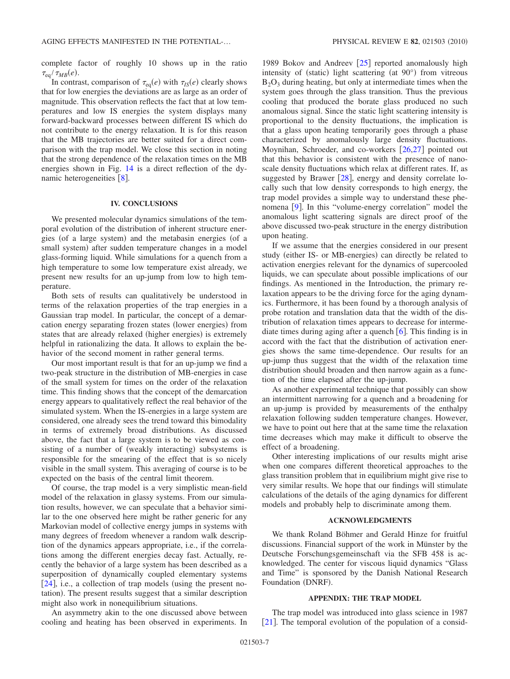complete factor of roughly 10 shows up in the ratio  $\tau_{\text{eq}}/\tau_{MB}(e)$ .

In contrast, comparison of  $\tau_{eq}(e)$  with  $\tau_{IS}(e)$  clearly shows that for low energies the deviations are as large as an order of magnitude. This observation reflects the fact that at low temperatures and low IS energies the system displays many forward-backward processes between different IS which do not contribute to the energy relaxation. It is for this reason that the MB trajectories are better suited for a direct comparison with the trap model. We close this section in noting that the strong dependence of the relaxation times on the MB energies shown in Fig. [14](#page-5-3) is a direct reflection of the dynamic heterogeneities  $\lceil 8 \rceil$  $\lceil 8 \rceil$  $\lceil 8 \rceil$ .

# **IV. CONCLUSIONS**

We presented molecular dynamics simulations of the temporal evolution of the distribution of inherent structure energies (of a large system) and the metabasin energies (of a small system) after sudden temperature changes in a model glass-forming liquid. While simulations for a quench from a high temperature to some low temperature exist already, we present new results for an up-jump from low to high temperature.

Both sets of results can qualitatively be understood in terms of the relaxation properties of the trap energies in a Gaussian trap model. In particular, the concept of a demarcation energy separating frozen states (lower energies) from states that are already relaxed (higher energies) is extremely helpful in rationalizing the data. It allows to explain the behavior of the second moment in rather general terms.

Our most important result is that for an up-jump we find a two-peak structure in the distribution of MB-energies in case of the small system for times on the order of the relaxation time. This finding shows that the concept of the demarcation energy appears to qualitatively reflect the real behavior of the simulated system. When the IS-energies in a large system are considered, one already sees the trend toward this bimodality in terms of extremely broad distributions. As discussed above, the fact that a large system is to be viewed as consisting of a number of (weakly interacting) subsystems is responsible for the smearing of the effect that is so nicely visible in the small system. This averaging of course is to be expected on the basis of the central limit theorem.

Of course, the trap model is a very simplistic mean-field model of the relaxation in glassy systems. From our simulation results, however, we can speculate that a behavior similar to the one observed here might be rather generic for any Markovian model of collective energy jumps in systems with many degrees of freedom whenever a random walk description of the dynamics appears appropriate, i.e., if the correlations among the different energies decay fast. Actually, recently the behavior of a large system has been described as a superposition of dynamically coupled elementary systems  $[24]$  $[24]$  $[24]$ , i.e., a collection of trap models (using the present notation). The present results suggest that a similar description might also work in nonequilibrium situations.

An asymmetry akin to the one discussed above between cooling and heating has been observed in experiments. In

1989 Bokov and Andreev  $[25]$  $[25]$  $[25]$  reported anomalously high intensity of (static) light scattering (at 90°) from vitreous  $B_2O_3$  during heating, but only at intermediate times when the system goes through the glass transition. Thus the previous cooling that produced the borate glass produced no such anomalous signal. Since the static light scattering intensity is proportional to the density fluctuations, the implication is that a glass upon heating temporarily goes through a phase characterized by anomalously large density fluctuations. Moynihan, Schroeder, and co-workers  $[26,27]$  $[26,27]$  $[26,27]$  $[26,27]$  pointed out that this behavior is consistent with the presence of nanoscale density fluctuations which relax at different rates. If, as suggested by Brawer  $[28]$  $[28]$  $[28]$ , energy and density correlate locally such that low density corresponds to high energy, the trap model provides a simple way to understand these phe-nomena [[9](#page-7-8)]. In this "volume-energy correlation" model the anomalous light scattering signals are direct proof of the above discussed two-peak structure in the energy distribution upon heating.

If we assume that the energies considered in our present study (either IS- or MB-energies) can directly be related to activation energies relevant for the dynamics of supercooled liquids, we can speculate about possible implications of our findings. As mentioned in the Introduction, the primary relaxation appears to be the driving force for the aging dynamics. Furthermore, it has been found by a thorough analysis of probe rotation and translation data that the width of the distribution of relaxation times appears to decrease for intermediate times during aging after a quench  $[6]$  $[6]$  $[6]$ . This finding is in accord with the fact that the distribution of activation energies shows the same time-dependence. Our results for an up-jump thus suggest that the width of the relaxation time distribution should broaden and then narrow again as a function of the time elapsed after the up-jump.

As another experimental technique that possibly can show an intermittent narrowing for a quench and a broadening for an up-jump is provided by measurements of the enthalpy relaxation following sudden temperature changes. However, we have to point out here that at the same time the relaxation time decreases which may make it difficult to observe the effect of a broadening.

Other interesting implications of our results might arise when one compares different theoretical approaches to the glass transition problem that in equilibrium might give rise to very similar results. We hope that our findings will stimulate calculations of the details of the aging dynamics for different models and probably help to discriminate among them.

# **ACKNOWLEDGMENTS**

We thank Roland Böhmer and Gerald Hinze for fruitful discussions. Financial support of the work in Münster by the Deutsche Forschungsgemeinschaft via the SFB 458 is acknowledged. The center for viscous liquid dynamics "Glass and Time" is sponsored by the Danish National Research Foundation (DNRF).

# **APPENDIX: THE TRAP MODEL**

The trap model was introduced into glass science in 1987  $[21]$  $[21]$  $[21]$ . The temporal evolution of the population of a consid-